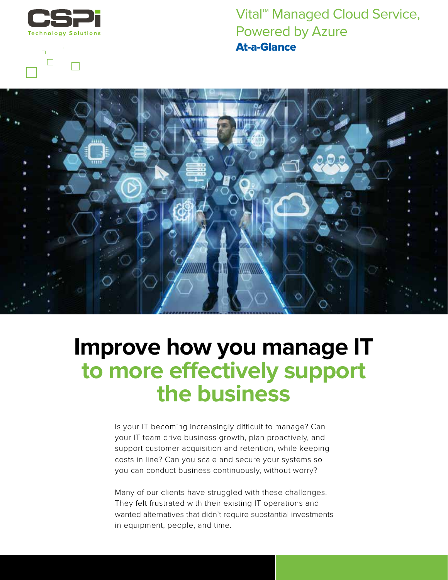

 $\blacksquare$ 





## **Improve how you manage IT to more effectively support the business**

WWW.

Is your IT becoming increasingly difficult to manage? Can your IT team drive business growth, plan proactively, and support customer acquisition and retention, while keeping costs in line? Can you scale and secure your systems so you can conduct business continuously, without worry?

Many of our clients have struggled with these challenges. They felt frustrated with their existing IT operations and wanted alternatives that didn't require substantial investments in equipment, people, and time.